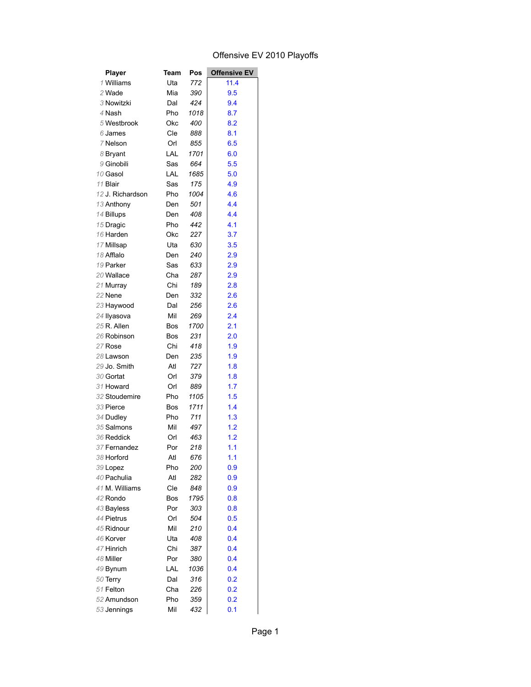## Offensive EV 2010 Playoffs

| Player           | <b>Team</b> | Pos  | <b>Offensive EV</b> |
|------------------|-------------|------|---------------------|
| 1 Williams       | Uta         | 772  | 11.4                |
| 2 Wade           | Mia         | 390  | 9.5                 |
| 3 Nowitzki       | Dal         | 424  | 9.4                 |
| 4 Nash           | Pho         | 1018 | 8.7                 |
| 5 Westbrook      | Okc         | 400  | 8.2                 |
| 6 James          | Cle         | 888  | 8.1                 |
| 7 Nelson         | Orl         | 855  | 6.5                 |
| 8 Bryant         | LAL         | 1701 | 6.0                 |
| 9 Ginobili       | Sas         | 664  | 5.5                 |
| 10 Gasol         | LAL         | 1685 | 5.0                 |
| 11 Blair         | Sas         | 175  | 4.9                 |
| 12 J. Richardson | Pho         | 1004 | 4.6                 |
| 13 Anthony       | Den         | 501  | 4.4                 |
| 14 Billups       | Den         | 408  | 4.4                 |
| 15 Dragic        | Pho         | 442  | 4.1                 |
| 16 Harden        | Okc         | 227  | 3.7                 |
| 17 Millsap       | Uta         | 630  | 3.5                 |
| 18 Afflalo       | Den         | 240  | 2.9                 |
| 19 Parker        | Sas         | 633  | 2.9                 |
| 20 Wallace       | Cha         | 287  | 2.9                 |
| 21 Murray        | Chi         | 189  | 2.8                 |
| 22 Nene          | Den         | 332  | 2.6                 |
| 23 Haywood       | Dal         | 256  | 2.6                 |
| 24 Ilyasova      | Mil         | 269  | 2.4                 |
| 25 R. Allen      | Bos         | 1700 | 2.1                 |
| 26 Robinson      | Bos         | 231  | 2.0                 |
| 27 Rose          | Chi         | 418  | 1.9                 |
| 28 Lawson        | Den         | 235  | 1.9                 |
| 29 Jo. Smith     | Atl         | 727  | 1.8                 |
| 30 Gortat        | Orl         | 379  | 1.8                 |
| 31 Howard        | Orl         | 889  | 1.7                 |
| 32 Stoudemire    | Pho         | 1105 | 1.5                 |
| 33 Pierce        | Bos         | 1711 | 1.4                 |
| 34 Dudley        | Pho         | 711  | 1.3                 |
| 35 Salmons       | Mil         | 497  | 1.2                 |
| 36 Reddick       | Orl         | 463  | 1.2                 |
| 37 Fernandez     | Por         | 218  | 1.1                 |
| 38 Horford       | Atl         | 676  | 1.1                 |
| 39 Lopez         | Pho         | 200  | 0.9                 |
| 40 Pachulia      | Atl         | 282  | 0.9                 |
| 41 M. Williams   | Cle         | 848  | 0.9                 |
| 42 Rondo         | Bos         | 1795 | 0.8                 |
| 43 Bayless       | Por         | 303  | 0.8                 |
| 44 Pietrus       | Orl         | 504  | 0.5                 |
| 45 Ridnour       | Mil         | 210  | 0.4                 |
| 46 Korver        | Uta         | 408  | 0.4                 |
| 47 Hinrich       | Chi         | 387  | 0.4                 |
| 48 Miller        | Por         | 380  | 0.4                 |
| 49 Bynum         | LAL         | 1036 | 0.4                 |
| 50 Terry         | Dal         | 316  | 0.2                 |
| 51 Felton        | Cha         | 226  | 0.2                 |
| 52 Amundson      | Pho         | 359  | 0.2                 |
| 53 Jennings      | Mil         | 432  | 0.1                 |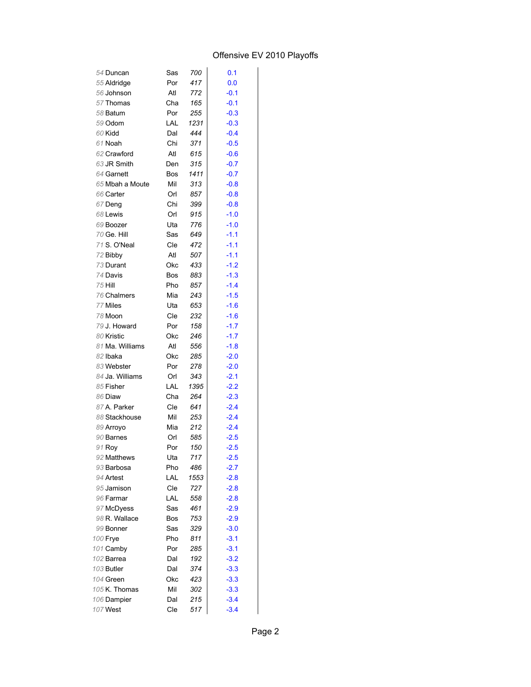## Offensive EV 2010 Playoffs

| 54 Duncan       | Sas        | 700  | 0.1    |
|-----------------|------------|------|--------|
| 55 Aldridge     | Por        | 417  | 0.0    |
| 56 Johnson      | Atl        | 772  | $-0.1$ |
| 57 Thomas       | Cha        | 165  | $-0.1$ |
| 58 Batum        | Por        | 255  | $-0.3$ |
| 59 Odom         | <b>LAL</b> | 1231 | $-0.3$ |
| 60 Kidd         | Dal        | 444  | $-0.4$ |
| 61 Noah         | Chi        | 371  | $-0.5$ |
| 62 Crawford     | Atl        | 615  | $-0.6$ |
| 63 JR Smith     | Den        | 315  | $-0.7$ |
| 64 Garnett      | Bos        | 1411 | $-0.7$ |
| 65 Mbah a Moute | Mil        | 313  | $-0.8$ |
| 66 Carter       | Orl        | 857  | $-0.8$ |
| 67 Deng         | Chi        | 399  | $-0.8$ |
| 68 Lewis        | Orl        | 915  | $-1.0$ |
| 69 Boozer       | Uta        | 776  | $-1.0$ |
| 70 Ge. Hill     | Sas        | 649  | $-1.1$ |
| 71 S. O'Neal    | Cle        | 472  | $-1.1$ |
| 72 Bibby        | Atl        | 507  | $-1.1$ |
| 73 Durant       | Okc        | 433  | $-1.2$ |
| 74 Davis        | <b>Bos</b> | 883  | $-1.3$ |
| 75 Hill         | Pho        | 857  | $-1.4$ |
| 76 Chalmers     | Mia        | 243  | $-1.5$ |
| 77 Miles        | Uta        | 653  | $-1.6$ |
| 78 Moon         | Cle        | 232  | $-1.6$ |
| 79 J. Howard    | Por        | 158  | $-1.7$ |
| 80 Kristic      | Okc        | 246  | $-1.7$ |
| 81 Ma. Williams | Atl        | 556  | $-1.8$ |
| 82 Ibaka        | Okc        | 285  | $-2.0$ |
| 83 Webster      | Por        | 278  | $-2.0$ |
| 84 Ja. Williams | Orl        | 343  | $-2.1$ |
| 85 Fisher       | LAL        | 1395 | $-2.2$ |
| 86 Diaw         | Cha        | 264  | $-2.3$ |
| 87 A. Parker    | Cle        | 641  | $-2.4$ |
| 88 Stackhouse   | Mil        | 253  | $-2.4$ |
| 89 Arroyo       | Mia        | 212  | $-2.4$ |
| 90 Barnes       | Orl        | 585  | $-2.5$ |
| 91 Roy          | Por        | 150  | $-2.5$ |
| 92 Matthews     | Uta        | 717  | $-2.5$ |
| 93 Barbosa      | Pho        | 486  | $-2.7$ |
| 94 Artest       | LAL        | 1553 | $-2.8$ |
| 95 Jamison      | Cle        | 727  | $-2.8$ |
| 96 Farmar       | LAL        | 558  | $-2.8$ |
| 97 McDyess      | Sas        | 461  | $-2.9$ |
| 98 R. Wallace   | Bos        | 753  | $-2.9$ |
| 99 Bonner       | Sas        | 329  | $-3.0$ |
| 100 Frye        | Pho        | 811  | $-3.1$ |
| 101 Camby       | Por        | 285  | $-3.1$ |
| 102 Barrea      | Dal        | 192  | $-3.2$ |
| 103 Butler      | Dal        | 374  | $-3.3$ |
| 104 Green       | Okc        | 423  | $-3.3$ |
| 105 K. Thomas   | Mil        | 302  | $-3.3$ |
| 106 Dampier     | Dal        | 215  | $-3.4$ |
| 107 West        | Cle        | 517  | $-3.4$ |